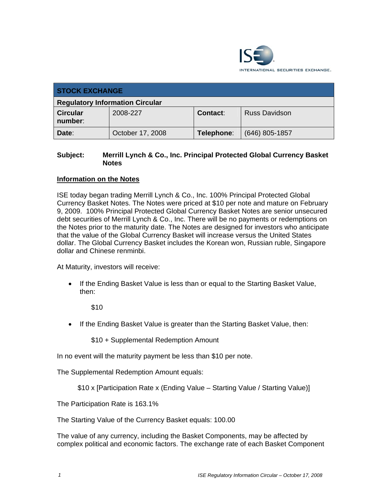

| <b>STOCK EXCHANGE</b>                  |                  |                 |                      |  |
|----------------------------------------|------------------|-----------------|----------------------|--|
| <b>Regulatory Information Circular</b> |                  |                 |                      |  |
| <b>Circular</b><br>number:             | 2008-227         | <b>Contact:</b> | <b>Russ Davidson</b> |  |
| Date:                                  | October 17, 2008 | Telephone:      | $(646)$ 805-1857     |  |

## **Subject: Merrill Lynch & Co., Inc. Principal Protected Global Currency Basket Notes**

## **Information on the Notes**

ISE today began trading Merrill Lynch & Co., Inc. 100% Principal Protected Global Currency Basket Notes. The Notes were priced at \$10 per note and mature on February 9, 2009. 100% Principal Protected Global Currency Basket Notes are senior unsecured debt securities of Merrill Lynch & Co., Inc. There will be no payments or redemptions on the Notes prior to the maturity date. The Notes are designed for investors who anticipate that the value of the Global Currency Basket will increase versus the United States dollar. The Global Currency Basket includes the Korean won, Russian ruble, Singapore dollar and Chinese renminbi.

At Maturity, investors will receive:

• If the Ending Basket Value is less than or equal to the Starting Basket Value, then:

\$10

• If the Ending Basket Value is greater than the Starting Basket Value, then:

\$10 + Supplemental Redemption Amount

In no event will the maturity payment be less than \$10 per note.

The Supplemental Redemption Amount equals:

```
$10 x [Participation Rate x (Ending Value – Starting Value / Starting Value)]
```
The Participation Rate is 163.1%

The Starting Value of the Currency Basket equals: 100.00

The value of any currency, including the Basket Components, may be affected by complex political and economic factors. The exchange rate of each Basket Component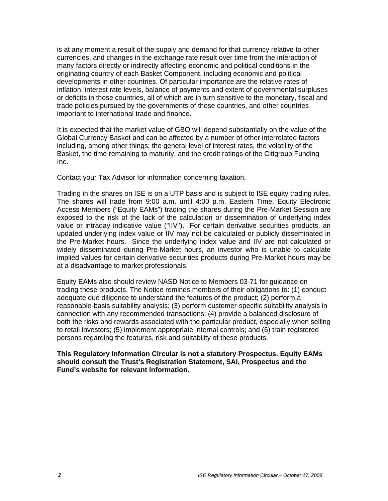is at any moment a result of the supply and demand for that currency relative to other currencies, and changes in the exchange rate result over time from the interaction of many factors directly or indirectly affecting economic and political conditions in the originating country of each Basket Component, including economic and political developments in other countries. Of particular importance are the relative rates of inflation, interest rate levels, balance of payments and extent of governmental surpluses or deficits in those countries, all of which are in turn sensitive to the monetary, fiscal and trade policies pursued by the governments of those countries, and other countries important to international trade and finance.

It is expected that the market value of GBO will depend substantially on the value of the Global Currency Basket and can be affected by a number of other interrelated factors including, among other things; the general level of interest rates, the volatility of the Basket, the time remaining to maturity, and the credit ratings of the Citigroup Funding Inc.

Contact your Tax Advisor for information concerning taxation.

Trading in the shares on ISE is on a UTP basis and is subject to ISE equity trading rules. The shares will trade from 9:00 a.m. until 4:00 p.m. Eastern Time. Equity Electronic Access Members ("Equity EAMs") trading the shares during the Pre-Market Session are exposed to the risk of the lack of the calculation or dissemination of underlying index value or intraday indicative value ("IIV"). For certain derivative securities products, an updated underlying index value or IIV may not be calculated or publicly disseminated in the Pre-Market hours. Since the underlying index value and IIV are not calculated or widely disseminated during Pre-Market hours, an investor who is unable to calculate implied values for certain derivative securities products during Pre-Market hours may be at a disadvantage to market professionals.

Equity EAMs also should review NASD Notice to Members 03-71 for guidance on trading these products. The Notice reminds members of their obligations to: (1) conduct adequate due diligence to understand the features of the product; (2) perform a reasonable-basis suitability analysis; (3) perform customer-specific suitability analysis in connection with any recommended transactions; (4) provide a balanced disclosure of both the risks and rewards associated with the particular product, especially when selling to retail investors; (5) implement appropriate internal controls; and (6) train registered persons regarding the features, risk and suitability of these products.

## **This Regulatory Information Circular is not a statutory Prospectus. Equity EAMs should consult the Trust's Registration Statement, SAI, Prospectus and the Fund's website for relevant information.**